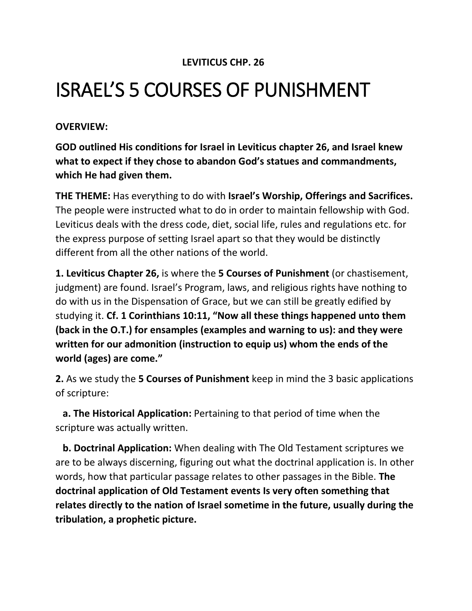## **LEVITICUS CHP. 26**

## ISRAEL'S 5 COURSES OF PUNISHMENT

## **OVERVIEW:**

**GOD outlined His conditions for Israel in Leviticus chapter 26, and Israel knew what to expect if they chose to abandon God's statues and commandments, which He had given them.**

**THE THEME:** Has everything to do with **Israel's Worship, Offerings and Sacrifices.** The people were instructed what to do in order to maintain fellowship with God. Leviticus deals with the dress code, diet, social life, rules and regulations etc. for the express purpose of setting Israel apart so that they would be distinctly different from all the other nations of the world.

**1. Leviticus Chapter 26,** is where the **5 Courses of Punishment** (or chastisement, judgment) are found. Israel's Program, laws, and religious rights have nothing to do with us in the Dispensation of Grace, but we can still be greatly edified by studying it. **Cf. 1 Corinthians 10:11, "Now all these things happened unto them (back in the O.T.) for ensamples (examples and warning to us): and they were written for our admonition (instruction to equip us) whom the ends of the world (ages) are come."**

**2.** As we study the **5 Courses of Punishment** keep in mind the 3 basic applications of scripture:

 **a. The Historical Application:** Pertaining to that period of time when the scripture was actually written.

 **b. Doctrinal Application:** When dealing with The Old Testament scriptures we are to be always discerning, figuring out what the doctrinal application is. In other words, how that particular passage relates to other passages in the Bible. **The doctrinal application of Old Testament events Is very often something that relates directly to the nation of Israel sometime in the future, usually during the tribulation, a prophetic picture.**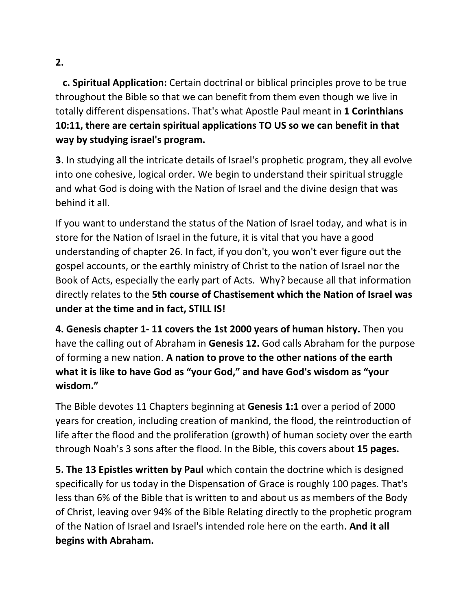## **2.**

 **c. Spiritual Application:** Certain doctrinal or biblical principles prove to be true throughout the Bible so that we can benefit from them even though we live in totally different dispensations. That's what Apostle Paul meant in **1 Corinthians 10:11, there are certain spiritual applications TO US so we can benefit in that way by studying israel's program.** 

**3**. In studying all the intricate details of Israel's prophetic program, they all evolve into one cohesive, logical order. We begin to understand their spiritual struggle and what God is doing with the Nation of Israel and the divine design that was behind it all.

If you want to understand the status of the Nation of Israel today, and what is in store for the Nation of Israel in the future, it is vital that you have a good understanding of chapter 26. In fact, if you don't, you won't ever figure out the gospel accounts, or the earthly ministry of Christ to the nation of Israel nor the Book of Acts, especially the early part of Acts. Why? because all that information directly relates to the **5th course of Chastisement which the Nation of Israel was under at the time and in fact, STILL IS!**

**4. Genesis chapter 1- 11 covers the 1st 2000 years of human history.** Then you have the calling out of Abraham in **Genesis 12.** God calls Abraham for the purpose of forming a new nation. **A nation to prove to the other nations of the earth what it is like to have God as "your God," and have God's wisdom as "your wisdom."**

The Bible devotes 11 Chapters beginning at **Genesis 1:1** over a period of 2000 years for creation, including creation of mankind, the flood, the reintroduction of life after the flood and the proliferation (growth) of human society over the earth through Noah's 3 sons after the flood. In the Bible, this covers about **15 pages.**

**5. The 13 Epistles written by Paul** which contain the doctrine which is designed specifically for us today in the Dispensation of Grace is roughly 100 pages. That's less than 6% of the Bible that is written to and about us as members of the Body of Christ, leaving over 94% of the Bible Relating directly to the prophetic program of the Nation of Israel and Israel's intended role here on the earth. **And it all begins with Abraham.**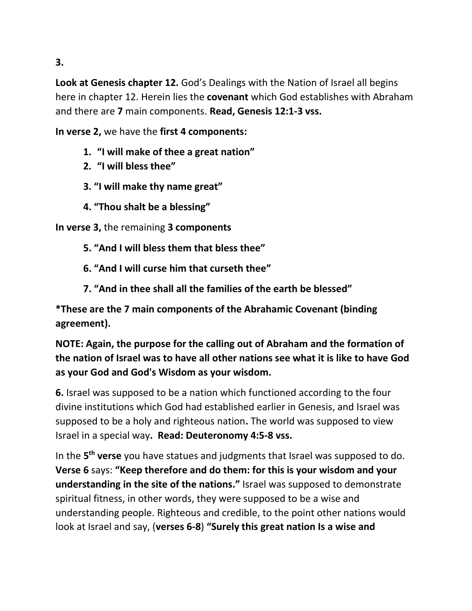**3.**

**Look at Genesis chapter 12.** God's Dealings with the Nation of Israel all begins here in chapter 12. Herein lies the **covenant** which God establishes with Abraham and there are **7** main components. **Read, Genesis 12:1-3 vss.**

**In verse 2,** we have the **first 4 components:**

- **1. "I will make of thee a great nation"**
- **2. "I will bless thee"**
- **3. "I will make thy name great"**
- **4. "Thou shalt be a blessing"**

**In verse 3,** the remaining **3 components**

- **5. "And I will bless them that bless thee"**
- **6. "And I will curse him that curseth thee"**
- **7. "And in thee shall all the families of the earth be blessed"**

**\*These are the 7 main components of the Abrahamic Covenant (binding agreement).**

**NOTE: Again, the purpose for the calling out of Abraham and the formation of the nation of Israel was to have all other nations see what it is like to have God as your God and God's Wisdom as your wisdom.**

**6.** Israel was supposed to be a nation which functioned according to the four divine institutions which God had established earlier in Genesis, and Israel was supposed to be a holy and righteous nation**.** The world was supposed to view Israel in a special way**. Read: Deuteronomy 4:5-8 vss.** 

In the **5 th verse** you have statues and judgments that Israel was supposed to do. **Verse 6** says: **"Keep therefore and do them: for this is your wisdom and your understanding in the site of the nations."** Israel was supposed to demonstrate spiritual fitness, in other words, they were supposed to be a wise and understanding people. Righteous and credible, to the point other nations would look at Israel and say, (**verses 6-8**) **"Surely this great nation Is a wise and**